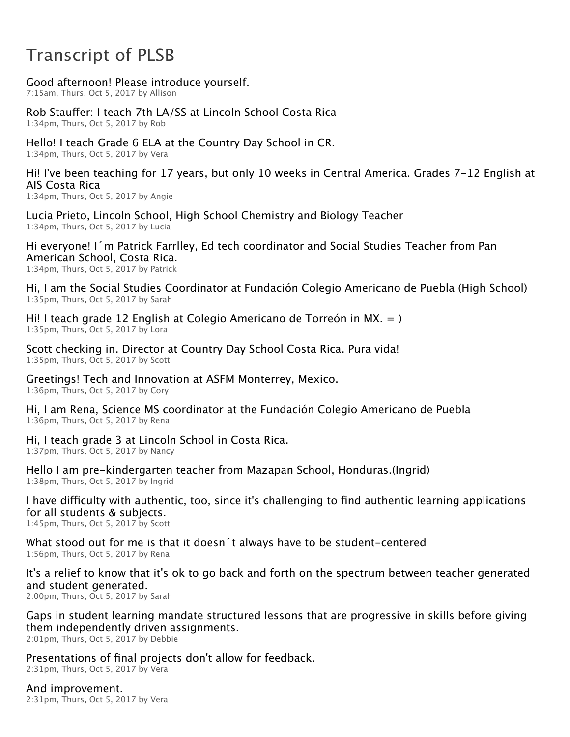## Transcript of PLSB

Good afternoon! Please introduce yourself.

7:15am, Thurs, Oct 5, 2017 by Allison

Rob Stauffer: I teach 7th LA/SS at Lincoln School Costa Rica 1:34pm, Thurs, Oct 5, 2017 by Rob

Hello! I teach Grade 6 ELA at the Country Day School in CR. 1:34pm, Thurs, Oct 5, 2017 by Vera

Hi! I've been teaching for 17 years, but only 10 weeks in Central America. Grades 7‑12 English at AIS Costa Rica

1:34pm, Thurs, Oct 5, 2017 by Angie

Lucia Prieto, Lincoln School, High School Chemistry and Biology Teacher 1:34pm, Thurs, Oct 5, 2017 by Lucia

Hi everyone! I´m Patrick Farrlley, Ed tech coordinator and Social Studies Teacher from Pan American School, Costa Rica. 1:34pm, Thurs, Oct 5, 2017 by Patrick

Hi, I am the Social Studies Coordinator at Fundación Colegio Americano de Puebla (High School) 1:35pm, Thurs, Oct 5, 2017 by Sarah

Hi! I teach grade 12 English at Colegio Americano de Torreón in MX. = ) 1:35pm, Thurs, Oct 5, 2017 by Lora

Scott checking in. Director at Country Day School Costa Rica. Pura vida! 1:35pm, Thurs, Oct 5, 2017 by Scott

Greetings! Tech and Innovation at ASFM Monterrey, Mexico. 1:36pm, Thurs, Oct 5, 2017 by Cory

Hi, I am Rena, Science MS coordinator at the Fundación Colegio Americano de Puebla 1:36pm, Thurs, Oct 5, 2017 by Rena

Hi, I teach grade 3 at Lincoln School in Costa Rica. 1:37pm, Thurs, Oct 5, 2017 by Nancy

Hello I am pre-kindergarten teacher from Mazapan School, Honduras.(Ingrid) 1:38pm, Thurs, Oct 5, 2017 by Ingrid

I have difficulty with authentic, too, since it's challenging to find authentic learning applications for all students & subjects.

1:45pm, Thurs, Oct 5, 2017 by Scott

What stood out for me is that it doesn't always have to be student–centered 1:56pm, Thurs, Oct 5, 2017 by Rena

It's a relief to know that it's ok to go back and forth on the spectrum between teacher generated and student generated.

2:00pm, Thurs, Oct 5, 2017 by Sarah

Gaps in student learning mandate structured lessons that are progressive in skills before giving them independently driven assignments.

2:01pm, Thurs, Oct 5, 2017 by Debbie

Presentations of final projects don't allow for feedback. 2:31pm, Thurs, Oct 5, 2017 by Vera

And improvement. 2:31pm, Thurs, Oct 5, 2017 by Vera